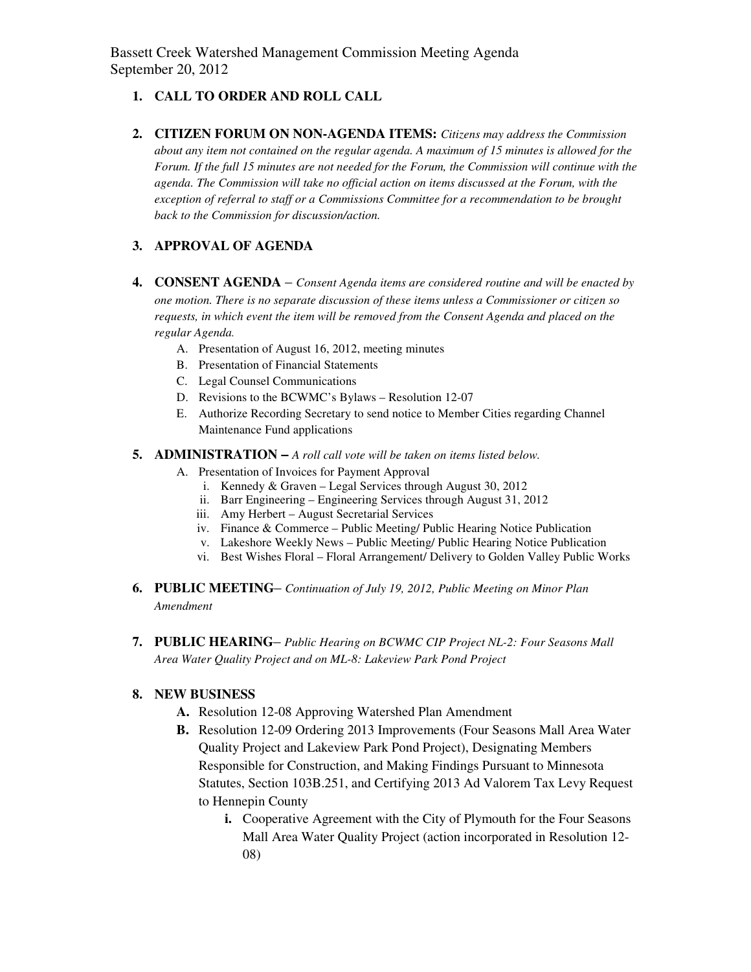Bassett Creek Watershed Management Commission Meeting Agenda September 20, 2012

#### **1. CALL TO ORDER AND ROLL CALL**

**2. CITIZEN FORUM ON NON-AGENDA ITEMS:** *Citizens may address the Commission about any item not contained on the regular agenda. A maximum of 15 minutes is allowed for the Forum. If the full 15 minutes are not needed for the Forum, the Commission will continue with the agenda. The Commission will take no official action on items discussed at the Forum, with the exception of referral to staff or a Commissions Committee for a recommendation to be brought back to the Commission for discussion/action.* 

### **3. APPROVAL OF AGENDA**

- **4. CONSENT AGENDA** *Consent Agenda items are considered routine and will be enacted by one motion. There is no separate discussion of these items unless a Commissioner or citizen so requests, in which event the item will be removed from the Consent Agenda and placed on the regular Agenda.* 
	- A. Presentation of August 16, 2012, meeting minutes
	- B. Presentation of Financial Statements
	- C. Legal Counsel Communications
	- D. Revisions to the BCWMC's Bylaws Resolution 12-07
	- E. Authorize Recording Secretary to send notice to Member Cities regarding Channel Maintenance Fund applications

#### **5. ADMINISTRATION –** *A roll call vote will be taken on items listed below.*

- A. Presentation of Invoices for Payment Approval
	- i. Kennedy & Graven Legal Services through August 30, 2012
	- ii. Barr Engineering Engineering Services through August 31, 2012
	- iii. Amy Herbert August Secretarial Services
	- iv. Finance & Commerce Public Meeting/ Public Hearing Notice Publication
	- v. Lakeshore Weekly News Public Meeting/ Public Hearing Notice Publication
	- vi. Best Wishes Floral Floral Arrangement/ Delivery to Golden Valley Public Works
- **6. PUBLIC MEETING** *Continuation of July 19, 2012, Public Meeting on Minor Plan Amendment*
- **7. PUBLIC HEARING** *Public Hearing on BCWMC CIP Project NL-2: Four Seasons Mall Area Water Quality Project and on ML-8: Lakeview Park Pond Project*

#### **8. NEW BUSINESS**

- **A.** Resolution 12-08 Approving Watershed Plan Amendment
- **B.** Resolution 12-09 Ordering 2013 Improvements (Four Seasons Mall Area Water Quality Project and Lakeview Park Pond Project), Designating Members Responsible for Construction, and Making Findings Pursuant to Minnesota Statutes, Section 103B.251, and Certifying 2013 Ad Valorem Tax Levy Request to Hennepin County
	- **i.** Cooperative Agreement with the City of Plymouth for the Four Seasons Mall Area Water Quality Project (action incorporated in Resolution 12- 08)